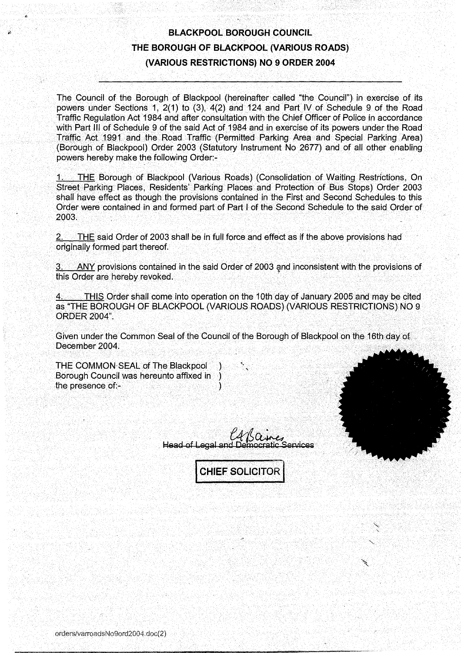# BLACKPOOL BOROUGH COUNCIL THE BOROUGH OF BLACKPOOL (VARIOUS ROADS) (VARIOUS RESTRICTIONS) NO <sup>9</sup> ORDER 2004

The Council of the Borough of Blackpool (hereinafter called "the Council") in exercise of its powers under Sections 1, 2(1) to (3), 4(2) and 124 and Part IV of Schedule <sup>9</sup> of the Road Traffic Regulation Act 1984 and after consultation with the Chief Officer of Police in accordance with Part III of Schedule 9 of the said Act of 1984 and in exercise of its powers under the Road Traffic Act 1991 and the Road Traffic (Permitted Parking Area and Special Parking Area (Borough of Blackpool) Order 2003 (Statutory Instrument No 2677) and of all other enabling powers hereby make the following Order:-

THE Borough of Blackpool (Various Roads) (Consolidation of Waiting Restrictions, On Street Parking Places, Residents' Parking Places and Protection of Bus Stops) Order 2003 shall have effect as though the provisions contained in the First and Second Schedules to this Order were contained in and formed part of Part I of the Second Schedule to the said Order of 2003.

**2. THE said Order of 2003 shall be in full force and effect as if the above provisions had** originally formed part thereof.

3. ANY provisions contained in the said Order of 2003 and inconsistent with the provisions of this Order are hereby revoked .

THIS Order shall come into operation on the 10th day of January 2005 and may be cited as "THE BOROUGH OF BLACKPOOL (VARIOUS ROADS) (VARIOUS RESTRICTIONS) NO 9 ORDER 2004"

Given under the Common Seal of the Council of the Borough of Blackpool on the 16th day of December 2004.

THE COMMON SEAL of The Blackpool Borough Council was hereunto affixed in the presence of:-1

**Head of Legal and** 

**CHIEF SOLICITOR**